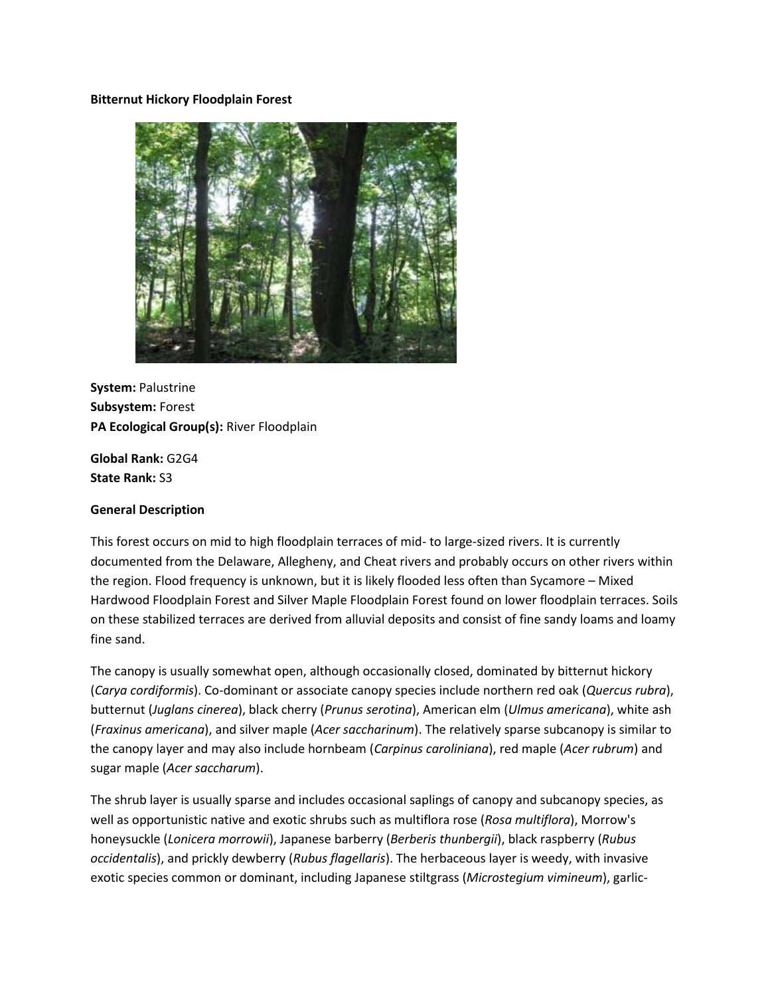#### **Bitternut Hickory Floodplain Forest**



**System:** Palustrine **Subsystem:** Forest **PA Ecological Group(s):** River Floodplain

**Global Rank:** G2G4 **State Rank:** S3

#### **General Description**

This forest occurs on mid to high floodplain terraces of mid- to large-sized rivers. It is currently documented from the Delaware, Allegheny, and Cheat rivers and probably occurs on other rivers within the region. Flood frequency is unknown, but it is likely flooded less often than Sycamore – Mixed Hardwood Floodplain Forest and Silver Maple Floodplain Forest found on lower floodplain terraces. Soils on these stabilized terraces are derived from alluvial deposits and consist of fine sandy loams and loamy fine sand.

The canopy is usually somewhat open, although occasionally closed, dominated by bitternut hickory (*Carya cordiformis*). Co-dominant or associate canopy species include northern red oak (*Quercus rubra*), butternut (*Juglans cinerea*), black cherry (*Prunus serotina*), American elm (*Ulmus americana*), white ash (*Fraxinus americana*), and silver maple (*Acer saccharinum*). The relatively sparse subcanopy is similar to the canopy layer and may also include hornbeam (*Carpinus caroliniana*), red maple (*Acer rubrum*) and sugar maple (*Acer saccharum*).

The shrub layer is usually sparse and includes occasional saplings of canopy and subcanopy species, as well as opportunistic native and exotic shrubs such as multiflora rose (*Rosa multiflora*), Morrow's honeysuckle (*Lonicera morrowii*), Japanese barberry (*Berberis thunbergii*), black raspberry (*Rubus occidentalis*), and prickly dewberry (*Rubus flagellaris*). The herbaceous layer is weedy, with invasive exotic species common or dominant, including Japanese stiltgrass (*Microstegium vimineum*), garlic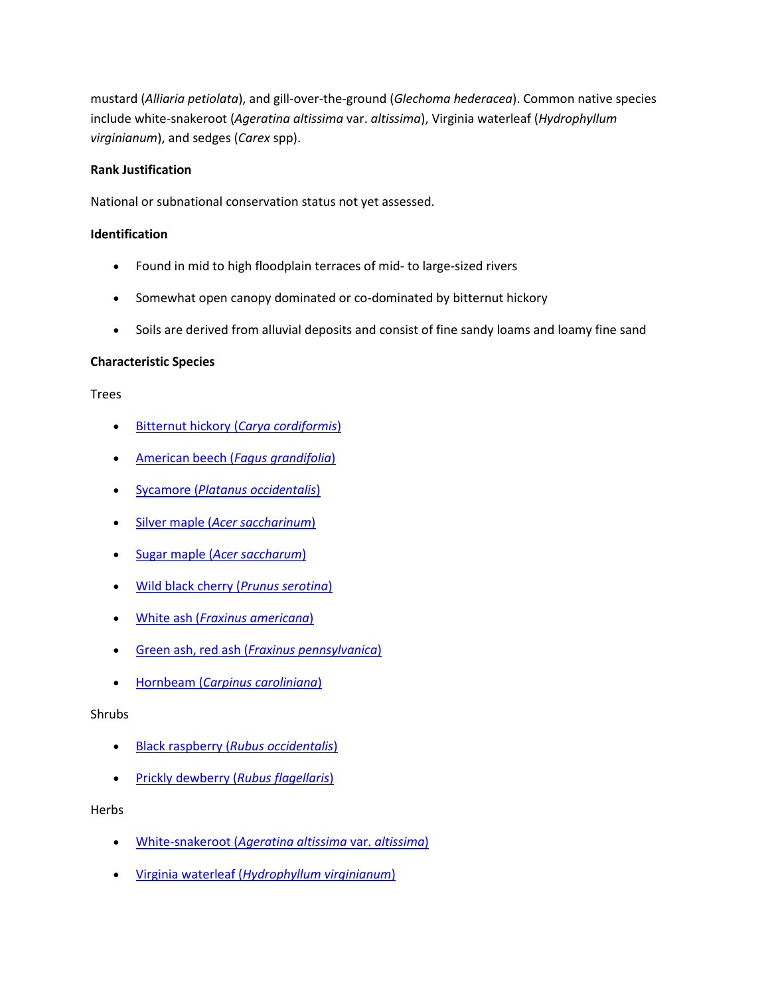mustard (*Alliaria petiolata*), and gill-over-the-ground (*Glechoma hederacea*). Common native species include white-snakeroot (*Ageratina altissima* var. *altissima*), Virginia waterleaf (*Hydrophyllum virginianum*), and sedges (*Carex* spp).

### **Rank Justification**

National or subnational conservation status not yet assessed.

### **Identification**

- Found in mid to high floodplain terraces of mid- to large-sized rivers
- Somewhat open canopy dominated or co-dominated by bitternut hickory
- Soils are derived from alluvial deposits and consist of fine sandy loams and loamy fine sand

### **Characteristic Species**

#### Trees

- Bitternut hickory (*[Carya cordiformis](http://www.natureserve.org/explorer/servlet/NatureServe?searchName=Carya+cordiformis)*)
- [American beech \(](http://www.natureserve.org/explorer/servlet/NatureServe?searchName=Fagus+grandifolia)*Fagus grandifolia*)
- Sycamore (*[Platanus occidentalis](http://www.natureserve.org/explorer/servlet/NatureServe?searchName=Platanus+occidentalis)*)
- Silver maple (*[Acer saccharinum](http://www.natureserve.org/explorer/servlet/NatureServe?searchName=Acer+saccharinum)*)
- Sugar maple (*[Acer saccharum](http://www.natureserve.org/explorer/servlet/NatureServe?searchName=Acer+saccharum)*)
- [Wild black cherry \(](http://www.natureserve.org/explorer/servlet/NatureServe?searchName=Prunus+serotina)*Prunus serotina*)
- White ash (*[Fraxinus americana](http://www.natureserve.org/explorer/servlet/NatureServe?searchName=Fraxinus+americana)*)
- Green ash, red ash (*[Fraxinus pennsylvanica](http://www.natureserve.org/explorer/servlet/NatureServe?searchName=Fraxinus+pennsylvanica)*)
- Hornbeam (*[Carpinus caroliniana](http://www.natureserve.org/explorer/servlet/NatureServe?searchName=Carpinus+caroliniana)*)

#### Shrubs

- Black raspberry (*[Rubus occidentalis](http://www.natureserve.org/explorer/servlet/NatureServe?searchName=Rubus+occidentalis)*)
- [Prickly dewberry \(](http://www.natureserve.org/explorer/servlet/NatureServe?searchName=Rubus+flagellaris)*Rubus flagellaris*)

#### Herbs

- White-snakeroot (*[Ageratina altissima](http://www.natureserve.org/explorer/servlet/NatureServe?searchName=Ageratina+altissima+var.+altissima)* var. *altissima*)
- Virginia waterleaf (*[Hydrophyllum virginianum](http://www.natureserve.org/explorer/servlet/NatureServe?searchName=Hydrophyllum+virginianum)*)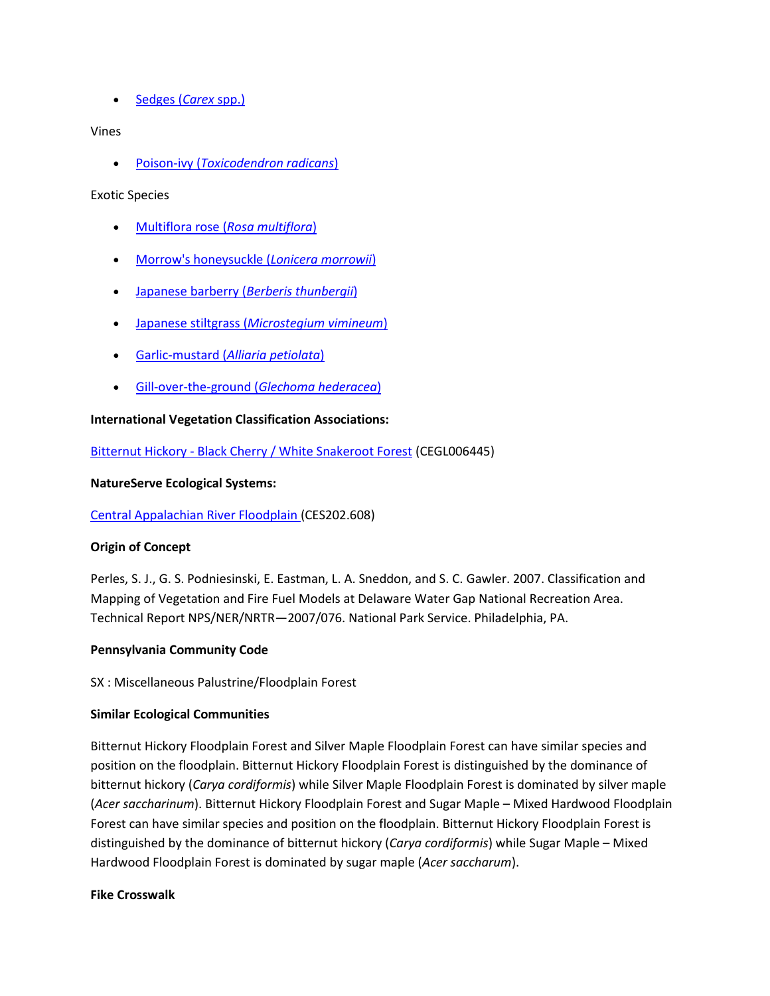• Sedges *(Carex spp.)* 

### Vines

Poison-ivy (*[Toxicodendron radicans](http://www.natureserve.org/explorer/servlet/NatureServe?searchName=Toxicodendron+radicans)*)

### Exotic Species

- [Multiflora rose \(](http://www.natureserve.org/explorer/servlet/NatureServe?searchName=Rosa+multiflora)*Rosa multiflora*)
- [Morrow's honeysuckle \(](http://www.natureserve.org/explorer/servlet/NatureServe?searchName=Lonicera+morrowii)*Lonicera morrowii*)
- [Japanese barberry \(](http://www.natureserve.org/explorer/servlet/NatureServe?searchName=Berberis+thunbergii)*Berberis thunbergii*)
- Japanese stiltgrass (*[Microstegium vimineum](http://www.natureserve.org/explorer/servlet/NatureServe?searchName=Microstegium+vimineum)*)
- Garlic-mustard (*[Alliaria petiolata](http://www.natureserve.org/explorer/servlet/NatureServe?searchName=Alliaria+petiolata)*)
- [Gill-over-the-ground \(](http://www.natureserve.org/explorer/servlet/NatureServe?searchName=Glechoma+hederacea)*Glechoma hederacea*)

# **International Vegetation Classification Associations:**

Bitternut Hickory - [Black Cherry / White Snakeroot Forest](http://www.natureserve.org/explorer/servlet/NatureServe?searchCommunityUid=ELEMENT_GLOBAL.2.791578) (CEGL006445)

### **NatureServe Ecological Systems:**

[Central Appalachian River Floodplain \(](http://www.natureserve.org/explorer/servlet/NatureServe?searchSystemUid=ELEMENT_GLOBAL.2.723001)CES202.608)

### **Origin of Concept**

Perles, S. J., G. S. Podniesinski, E. Eastman, L. A. Sneddon, and S. C. Gawler. 2007. Classification and Mapping of Vegetation and Fire Fuel Models at Delaware Water Gap National Recreation Area. Technical Report NPS/NER/NRTR—2007/076. National Park Service. Philadelphia, PA.

### **Pennsylvania Community Code**

SX : Miscellaneous Palustrine/Floodplain Forest

### **Similar Ecological Communities**

Bitternut Hickory Floodplain Forest and Silver Maple Floodplain Forest can have similar species and position on the floodplain. Bitternut Hickory Floodplain Forest is distinguished by the dominance of bitternut hickory (*Carya cordiformis*) while Silver Maple Floodplain Forest is dominated by silver maple (*Acer saccharinum*). Bitternut Hickory Floodplain Forest and Sugar Maple – Mixed Hardwood Floodplain Forest can have similar species and position on the floodplain. Bitternut Hickory Floodplain Forest is distinguished by the dominance of bitternut hickory (*Carya cordiformis*) while Sugar Maple – Mixed Hardwood Floodplain Forest is dominated by sugar maple (*Acer saccharum*).

### **Fike Crosswalk**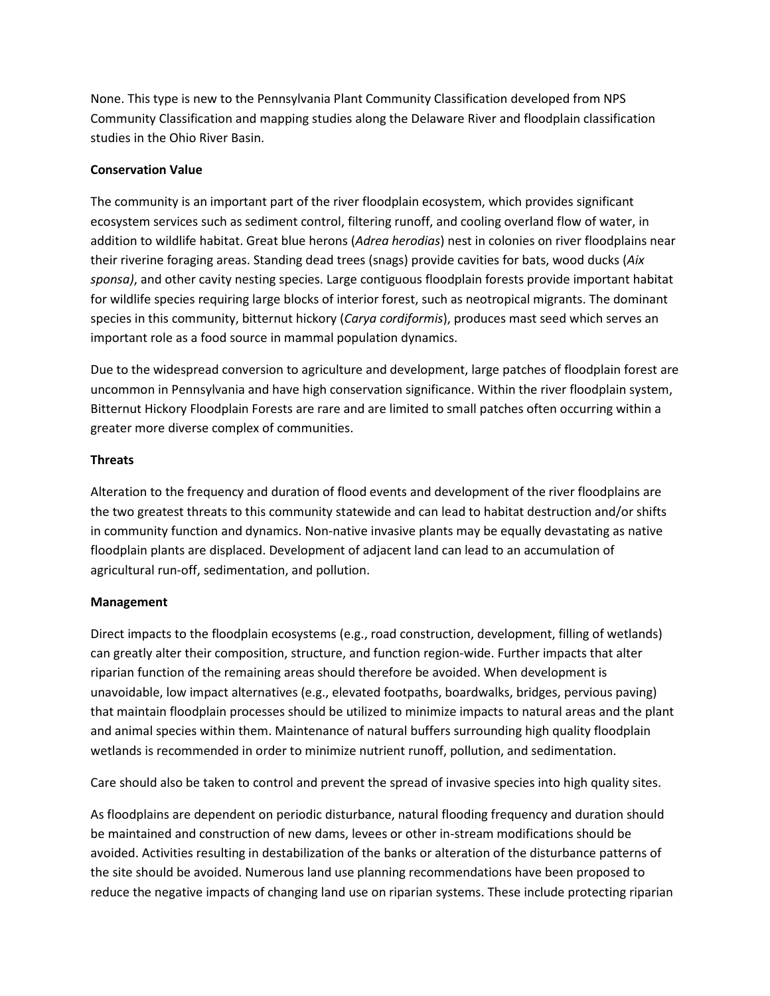None. This type is new to the Pennsylvania Plant Community Classification developed from NPS Community Classification and mapping studies along the Delaware River and floodplain classification studies in the Ohio River Basin.

## **Conservation Value**

The community is an important part of the river floodplain ecosystem, which provides significant ecosystem services such as sediment control, filtering runoff, and cooling overland flow of water, in addition to wildlife habitat. Great blue herons (*Adrea herodias*) nest in colonies on river floodplains near their riverine foraging areas. Standing dead trees (snags) provide cavities for bats, wood ducks (*Aix sponsa)*, and other cavity nesting species. Large contiguous floodplain forests provide important habitat for wildlife species requiring large blocks of interior forest, such as neotropical migrants. The dominant species in this community, bitternut hickory (*Carya cordiformis*), produces mast seed which serves an important role as a food source in mammal population dynamics.

Due to the widespread conversion to agriculture and development, large patches of floodplain forest are uncommon in Pennsylvania and have high conservation significance. Within the river floodplain system, Bitternut Hickory Floodplain Forests are rare and are limited to small patches often occurring within a greater more diverse complex of communities.

## **Threats**

Alteration to the frequency and duration of flood events and development of the river floodplains are the two greatest threats to this community statewide and can lead to habitat destruction and/or shifts in community function and dynamics. Non-native invasive plants may be equally devastating as native floodplain plants are displaced. Development of adjacent land can lead to an accumulation of agricultural run-off, sedimentation, and pollution.

### **Management**

Direct impacts to the floodplain ecosystems (e.g., road construction, development, filling of wetlands) can greatly alter their composition, structure, and function region-wide. Further impacts that alter riparian function of the remaining areas should therefore be avoided. When development is unavoidable, low impact alternatives (e.g., elevated footpaths, boardwalks, bridges, pervious paving) that maintain floodplain processes should be utilized to minimize impacts to natural areas and the plant and animal species within them. Maintenance of natural buffers surrounding high quality floodplain wetlands is recommended in order to minimize nutrient runoff, pollution, and sedimentation.

Care should also be taken to control and prevent the spread of invasive species into high quality sites.

As floodplains are dependent on periodic disturbance, natural flooding frequency and duration should be maintained and construction of new dams, levees or other in-stream modifications should be avoided. Activities resulting in destabilization of the banks or alteration of the disturbance patterns of the site should be avoided. Numerous land use planning recommendations have been proposed to reduce the negative impacts of changing land use on riparian systems. These include protecting riparian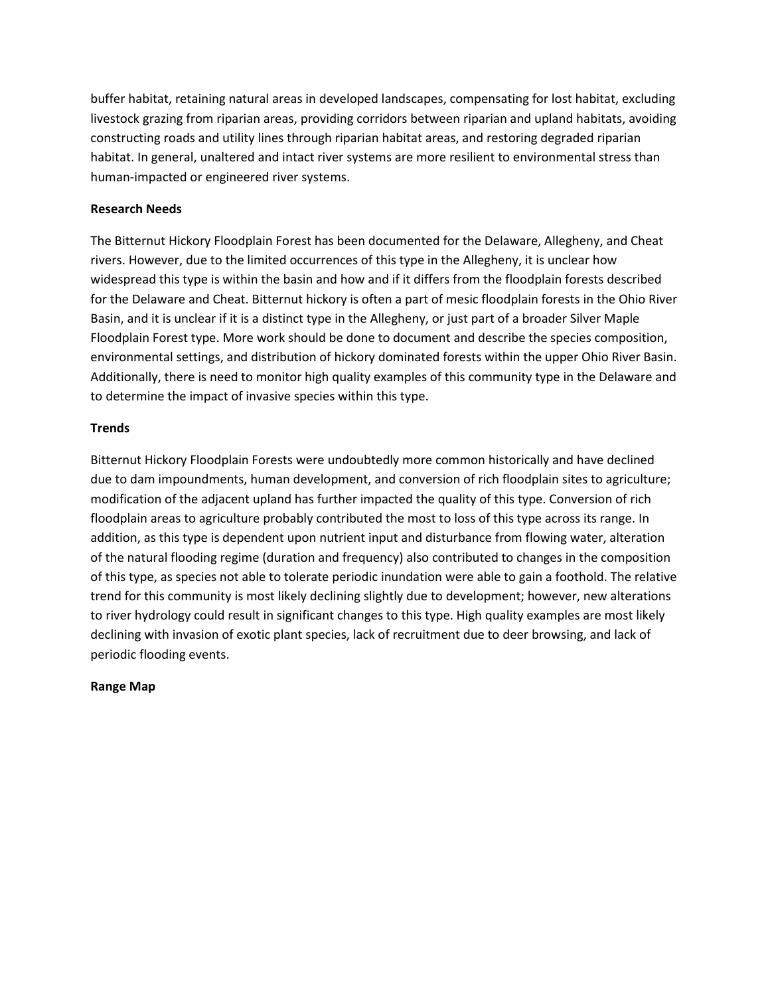buffer habitat, retaining natural areas in developed landscapes, compensating for lost habitat, excluding livestock grazing from riparian areas, providing corridors between riparian and upland habitats, avoiding constructing roads and utility lines through riparian habitat areas, and restoring degraded riparian habitat. In general, unaltered and intact river systems are more resilient to environmental stress than human-impacted or engineered river systems.

### **Research Needs**

The Bitternut Hickory Floodplain Forest has been documented for the Delaware, Allegheny, and Cheat rivers. However, due to the limited occurrences of this type in the Allegheny, it is unclear how widespread this type is within the basin and how and if it differs from the floodplain forests described for the Delaware and Cheat. Bitternut hickory is often a part of mesic floodplain forests in the Ohio River Basin, and it is unclear if it is a distinct type in the Allegheny, or just part of a broader Silver Maple Floodplain Forest type. More work should be done to document and describe the species composition, environmental settings, and distribution of hickory dominated forests within the upper Ohio River Basin. Additionally, there is need to monitor high quality examples of this community type in the Delaware and to determine the impact of invasive species within this type.

### **Trends**

Bitternut Hickory Floodplain Forests were undoubtedly more common historically and have declined due to dam impoundments, human development, and conversion of rich floodplain sites to agriculture; modification of the adjacent upland has further impacted the quality of this type. Conversion of rich floodplain areas to agriculture probably contributed the most to loss of this type across its range. In addition, as this type is dependent upon nutrient input and disturbance from flowing water, alteration of the natural flooding regime (duration and frequency) also contributed to changes in the composition of this type, as species not able to tolerate periodic inundation were able to gain a foothold. The relative trend for this community is most likely declining slightly due to development; however, new alterations to river hydrology could result in significant changes to this type. High quality examples are most likely declining with invasion of exotic plant species, lack of recruitment due to deer browsing, and lack of periodic flooding events.

### **Range Map**